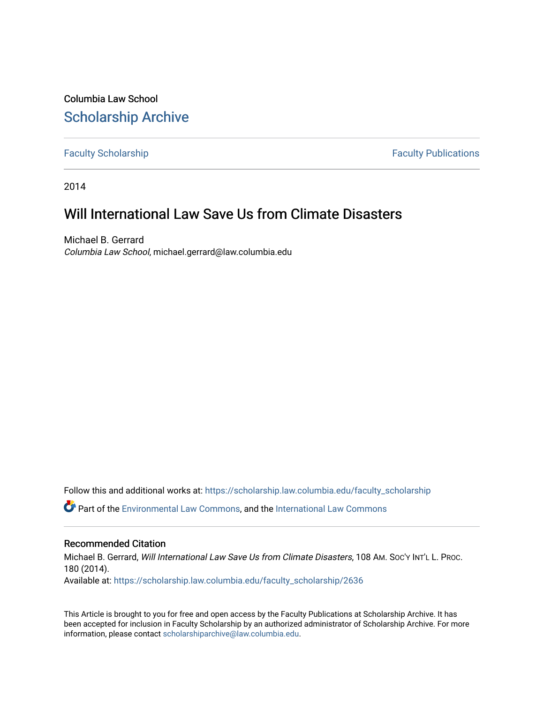Columbia Law School [Scholarship Archive](https://scholarship.law.columbia.edu/) 

[Faculty Scholarship](https://scholarship.law.columbia.edu/faculty_scholarship) **Faculty Scholarship Faculty Publications** 

2014

# Will International Law Save Us from Climate Disasters

Michael B. Gerrard Columbia Law School, michael.gerrard@law.columbia.edu

Follow this and additional works at: [https://scholarship.law.columbia.edu/faculty\\_scholarship](https://scholarship.law.columbia.edu/faculty_scholarship?utm_source=scholarship.law.columbia.edu%2Ffaculty_scholarship%2F2636&utm_medium=PDF&utm_campaign=PDFCoverPages)

Part of the [Environmental Law Commons](http://network.bepress.com/hgg/discipline/599?utm_source=scholarship.law.columbia.edu%2Ffaculty_scholarship%2F2636&utm_medium=PDF&utm_campaign=PDFCoverPages), and the [International Law Commons](http://network.bepress.com/hgg/discipline/609?utm_source=scholarship.law.columbia.edu%2Ffaculty_scholarship%2F2636&utm_medium=PDF&utm_campaign=PDFCoverPages) 

# Recommended Citation

Michael B. Gerrard, Will International Law Save Us from Climate Disasters, 108 AM. SOC'Y INT'L L. PROC. 180 (2014).

Available at: [https://scholarship.law.columbia.edu/faculty\\_scholarship/2636](https://scholarship.law.columbia.edu/faculty_scholarship/2636?utm_source=scholarship.law.columbia.edu%2Ffaculty_scholarship%2F2636&utm_medium=PDF&utm_campaign=PDFCoverPages)

This Article is brought to you for free and open access by the Faculty Publications at Scholarship Archive. It has been accepted for inclusion in Faculty Scholarship by an authorized administrator of Scholarship Archive. For more information, please contact [scholarshiparchive@law.columbia.edu.](mailto:scholarshiparchive@law.columbia.edu)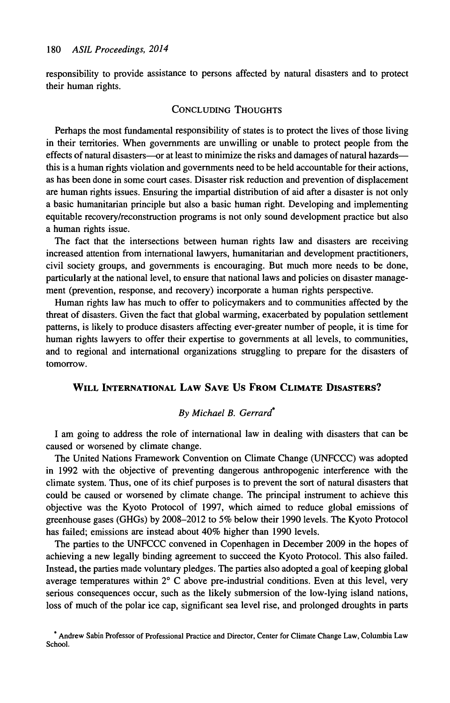responsibility to provide assistance to persons affected by natural disasters and to protect their human rights.

#### CONCLUDING THOUGHTS

Perhaps the most fundamental responsibility of states is to protect the lives of those living in their territories. When governments are unwilling or unable to protect people from the effects of natural disasters-or at least to minimize the risks and damages of natural hazardsthis is a human rights violation and governments need to be held accountable for their actions, as has been done in some court cases. Disaster risk reduction and prevention of displacement are human rights issues. Ensuring the impartial distribution of aid after a disaster is not only a basic humanitarian principle but also a basic human right. Developing and implementing equitable recovery/reconstruction programs is not only sound development practice but also a human rights issue.

The fact that the intersections between human rights law and disasters are receiving increased attention from international lawyers, humanitarian and development practitioners, civil society groups, and governments is encouraging. But much more needs to be done, particularly at the national level, to ensure that national laws and policies on disaster management (prevention, response, and recovery) incorporate a human rights perspective.

Human rights law has much to offer to policymakers and to communities affected by the threat of disasters. Given the fact that global warming, exacerbated by population settlement patterns, is likely to produce disasters affecting ever-greater number of people, it is time for human rights lawyers to offer their expertise to governments at all levels, to communities, and to regional and international organizations struggling to prepare for the disasters of tomorrow.

## **WILL INTERNATIONAL LAW SAVE Us FROM CLIMATE DISASTERS?**

### *By Michael B. Gerrard'*

I am going to address the role of international law in dealing with disasters that can be caused or worsened by climate change.

The United Nations Framework Convention on Climate Change (UNFCCC) was adopted in 1992 with the objective of preventing dangerous anthropogenic interference with the climate system. Thus, one of its chief purposes is to prevent the sort of natural disasters that could be caused or worsened by climate change. The principal instrument to achieve this objective was the Kyoto Protocol of 1997, which aimed to reduce global emissions of greenhouse gases (GHGs) by 2008-2012 to 5% below their 1990 levels. The Kyoto Protocol has failed; emissions are instead about 40% higher than 1990 levels.

The parties to the UNFCCC convened in Copenhagen in December 2009 in the hopes of achieving a new legally binding agreement to succeed the Kyoto Protocol. This also failed. Instead, the parties made voluntary pledges. The parties also adopted a goal of keeping global average temperatures within 2° C above pre-industrial conditions. Even at this level, very serious consequences occur, such as the likely submersion of the low-lying island nations, loss of much of the polar ice cap, significant sea level rise, and prolonged droughts in parts

<sup>•</sup> Andrew Sabin Professor of Professional Practice and Director, Center for Climate Change Law, Columbia Law School.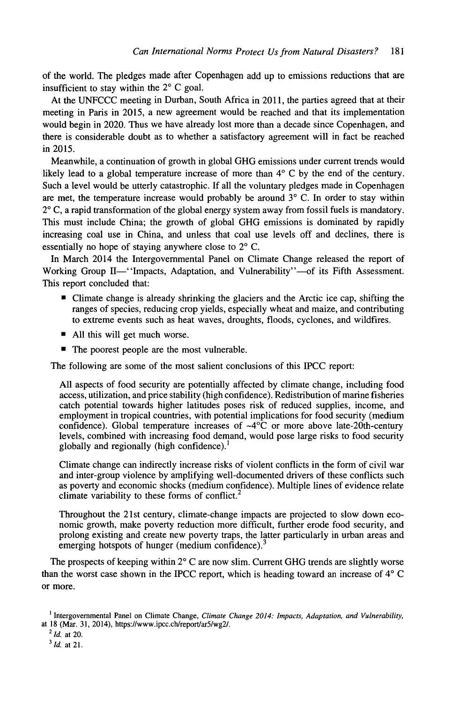of the world. The pledges made after Copenhagen add up to emissions reductions that are insufficient to stay within the 2° C goal.

At the UNFCCC meeting in Durban, South Africa in 2011, the parties agreed that at their meeting in Paris in 2015, a new agreement would be reached and that its implementation would begin in 2020. Thus we have already lost more than a decade since Copenhagen, and there is considerable doubt as to whether a satisfactory agreement will in fact be reached in 2015.

Meanwhile, a continuation of growth in global GHG emissions under current trends would likely lead to a global temperature increase of more than 4° C by the end of the century. Such a level would be utterly catastrophic. If all the voluntary pledges made in Copenhagen are met, the temperature increase would probably be around 3° C. In order to stay within  $2^{\circ}$  C, a rapid transformation of the global energy system away from fossil fuels is mandatory. This must include China; the growth of global GHG emissions is dominated by rapidly increasing coal use in China, and unless that coal use levels off and declines, there is essentially no hope of staying anywhere close to 2° C.

In March 2014 the Intergovernmental Panel on Climate Change released the report of Working Group II—"Impacts, Adaptation, and Vulnerability" - of its Fifth Assessment. This report concluded that:

- Climate change is already shrinking the glaciers and the Arctic ice cap, shifting the ranges of species, reducing crop yields, especially wheat and maize, and contributing to extreme events such as heat waves, droughts, floods, cyclones, and wildfires.
- All this will get much worse.
- **The poorest people are the most vulnerable.**

The following are some of the most salient conclusions of this IPCC report:

All aspects of food security are potentially affected by climate change, including food access, utilization, and price stability (high confidence). Redistribution of marine fisheries catch potential towards higher latitudes poses risk of reduced supplies, income, and employment in tropical countries, with potential implications for food security (medium confidence). Global temperature increases of  $\sim4^{\circ}\text{C}$  or more above late-20th-century levels, combined with increasing food demand, would pose large risks to food security globally and regionally (high confidence). $<sup>1</sup>$ </sup>

Climate change can indirectly increase risks of violent conflicts in the form of civil war and inter-group violence by amplifying well-documented drivers of these conflicts such as poverty and economic shocks (medium confidence). Multiple lines of evidence relate climate variability to these forms of conflict.<sup>2</sup>

Throughout the 21st century, climate-change impacts are projected to slow down economic growth, make poverty reduction more difficult, further erode food security, and prolong existing and create new poverty traps, the latter particularly in urban areas and emerging hotspots of hunger (medium confidence).<sup>3</sup>

The prospects of keeping within 2° C are now slim. Current GHG trends are slightly worse than the worst case shown in the IPCC report, which is heading toward an increase of  $4^{\circ}$  C or more.

<sup>&</sup>lt;sup>1</sup> Intergovernmental Panel on Climate Change, *Climate Change 2014: Impacts, Adaptation, and Vulnerability,* at 18 (Mar. 31, 2014), https://www.ipcc.ch/report/ar5/wg2/. 2 *Id.* at 20.

<sup>3</sup>*Id.* at 21.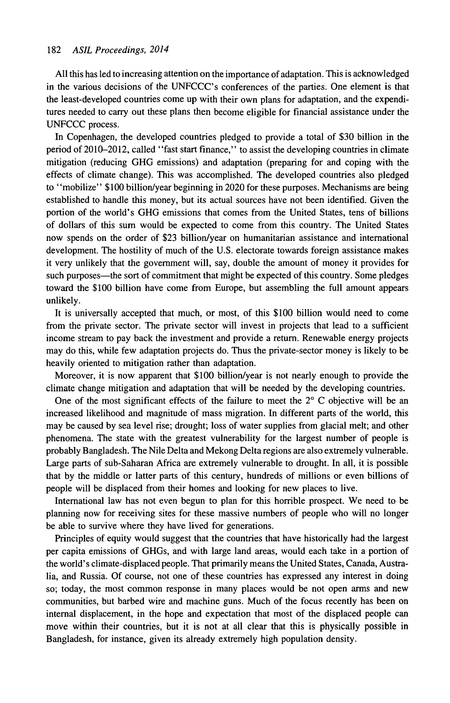#### 182 *ASIL Proceedings, 2014*

All this has led to increasing attention on the importance of adaptation. This is acknowledged in the various decisions of the UNFCCC's conferences of the parties. One element is that the least-developed countries come up with their own plans for adaptation, and the expenditures needed to carry out these plans then become eligible for financial assistance under the UNFCCC process.

In Copenhagen, the developed countries pledged to provide a total of \$30 billion in the period of 2010-2012, called "fast start finance," to assist the developing countries in climate mitigation (reducing GHG emissions) and adaptation (preparing for and coping with the effects of climate change). This was accomplished. The developed countries also pledged to "mobilize" \$100 billion/year beginning in 2020 for these purposes. Mechanisms are being established to handle this money, but its actual sources have not been identified. Given the portion of the world's GHG emissions that comes from the United States, tens of billions of dollars of this sum would be expected to come from this country. The United States now spends on the order of \$23 billion/year on humanitarian assistance and international development. The hostility of much of the U.S. electorate towards foreign assistance makes it very unlikely that the government will, say, double the amount of money it provides for such purposes—the sort of commitment that might be expected of this country. Some pledges toward the \$100 billion have come from Europe, but assembling the full amount appears unlikely.

It is universally accepted that much, or most, of this \$100 billion would need to come from the private sector. The private sector will invest in projects that lead to a sufficient income stream to pay back the investment and provide a return. Renewable energy projects may do this, while few adaptation projects do. Thus the private-sector money is likely to be heavily oriented to mitigation rather than adaptation.

Moreover, it is now apparent that \$100 billion/year is not nearly enough to provide the climate change mitigation and adaptation that will be needed by the developing countries.

One of the most significant effects of the failure to meet the  $2^{\circ}$  C objective will be an increased likelihood and magnitude of mass migration. In different parts of the world, this may be caused by sea level rise; drought; loss of water supplies from glacial melt; and other phenomena. The state with the greatest vulnerability for the largest number of people is probably Bangladesh. The Nile Delta and Mekong Delta regions are also extremely vulnerable. Large parts of sub-Saharan Africa are extremely vulnerable to drought. In all, it is possible that by the middle or latter parts of this century, hundreds of millions or even billions of people will be displaced from their homes and looking for new places to live.

International law has not even begun to plan for this horrible prospect. We need to be planning now for receiving sites for these massive numbers of people who will no longer be able to survive where they have lived for generations.

Principles of equity would suggest that the countries that have historically had the largest per capita emissions of GHGs, and with large land areas, would each take in a portion of the world's climate-displaced people. That primarily means the United States, Canada, Australia, and Russia. Of course, not one of these countries has expressed any interest in doing so; today, the most common response in many places would be not open arms and new communities, but barbed wire and machine guns. Much of the focus recently has been on internal displacement, in the hope and expectation that most of the displaced people can move within their countries, but it is not at all clear that this is physically possible in Bangladesh, for instance, given its already extremely high population density.